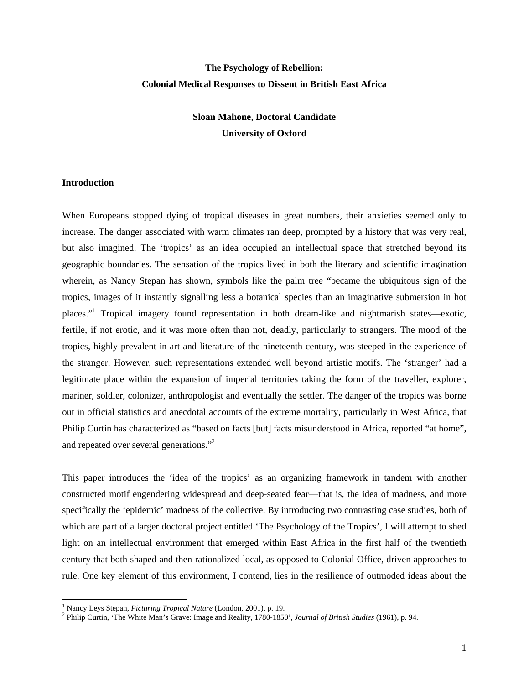# **The Psychology of Rebellion: Colonial Medical Responses to Dissent in British East Africa**

## **Sloan Mahone, Doctoral Candidate University of Oxford**

### **Introduction**

When Europeans stopped dying of tropical diseases in great numbers, their anxieties seemed only to increase. The danger associated with warm climates ran deep, prompted by a history that was very real, but also imagined. The 'tropics' as an idea occupied an intellectual space that stretched beyond its geographic boundaries. The sensation of the tropics lived in both the literary and scientific imagination wherein, as Nancy Stepan has shown, symbols like the palm tree "became the ubiquitous sign of the tropics, images of it instantly signalling less a botanical species than an imaginative submersion in hot places."<sup>1</sup> Tropical imagery found representation in both dream-like and nightmarish states—exotic, fertile, if not erotic, and it was more often than not, deadly, particularly to strangers. The mood of the tropics, highly prevalent in art and literature of the nineteenth century, was steeped in the experience of the stranger. However, such representations extended well beyond artistic motifs. The 'stranger' had a legitimate place within the expansion of imperial territories taking the form of the traveller, explorer, mariner, soldier, colonizer, anthropologist and eventually the settler. The danger of the tropics was borne out in official statistics and anecdotal accounts of the extreme mortality, particularly in West Africa, that Philip Curtin has characterized as "based on facts [but] facts misunderstood in Africa, reported "at home", and repeated over several generations."<sup>2</sup>

This paper introduces the 'idea of the tropics' as an organizing framework in tandem with another constructed motif engendering widespread and deep-seated fear—that is, the idea of madness, and more specifically the 'epidemic' madness of the collective. By introducing two contrasting case studies, both of which are part of a larger doctoral project entitled 'The Psychology of the Tropics', I will attempt to shed light on an intellectual environment that emerged within East Africa in the first half of the twentieth century that both shaped and then rationalized local, as opposed to Colonial Office, driven approaches to rule. One key element of this environment, I contend, lies in the resilience of outmoded ideas about the

<sup>1&</sup>lt;br><sup>1</sup> Nancy Leys Stepan, *Picturing Tropical Nature* (London, 2001), p. 19.<br><sup>2</sup> Philip Curtin, 'The White Man's Grave: Image and Beality, 1780, 1850

Philip Curtin, 'The White Man's Grave: Image and Reality, 1780-1850', *Journal of British Studies* (1961), p. 94.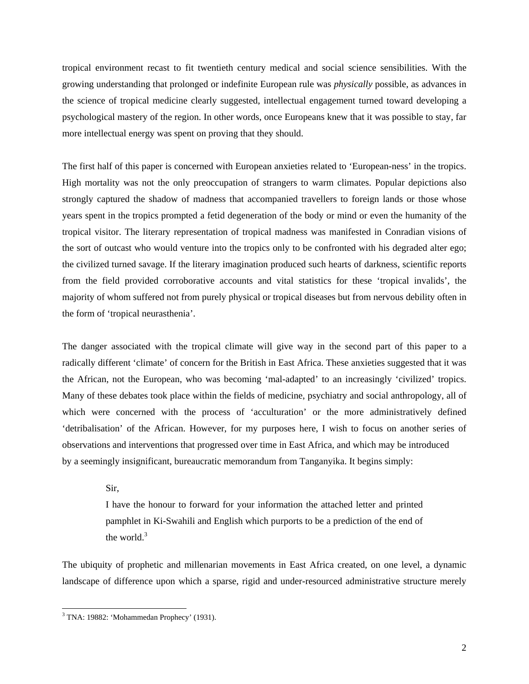tropical environment recast to fit twentieth century medical and social science sensibilities. With the growing understanding that prolonged or indefinite European rule was *physically* possible, as advances in the science of tropical medicine clearly suggested, intellectual engagement turned toward developing a psychological mastery of the region. In other words, once Europeans knew that it was possible to stay, far more intellectual energy was spent on proving that they should.

The first half of this paper is concerned with European anxieties related to 'European-ness' in the tropics. High mortality was not the only preoccupation of strangers to warm climates. Popular depictions also strongly captured the shadow of madness that accompanied travellers to foreign lands or those whose years spent in the tropics prompted a fetid degeneration of the body or mind or even the humanity of the tropical visitor. The literary representation of tropical madness was manifested in Conradian visions of the sort of outcast who would venture into the tropics only to be confronted with his degraded alter ego; the civilized turned savage. If the literary imagination produced such hearts of darkness, scientific reports from the field provided corroborative accounts and vital statistics for these 'tropical invalids', the majority of whom suffered not from purely physical or tropical diseases but from nervous debility often in the form of 'tropical neurasthenia'.

The danger associated with the tropical climate will give way in the second part of this paper to a radically different 'climate' of concern for the British in East Africa. These anxieties suggested that it was the African, not the European, who was becoming 'mal-adapted' to an increasingly 'civilized' tropics. Many of these debates took place within the fields of medicine, psychiatry and social anthropology, all of which were concerned with the process of 'acculturation' or the more administratively defined 'detribalisation' of the African. However, for my purposes here, I wish to focus on another series of observations and interventions that progressed over time in East Africa, and which may be introduced by a seemingly insignificant, bureaucratic memorandum from Tanganyika. It begins simply:

## Sir,

1

I have the honour to forward for your information the attached letter and printed pamphlet in Ki-Swahili and English which purports to be a prediction of the end of the world. $3$ 

The ubiquity of prophetic and millenarian movements in East Africa created, on one level, a dynamic landscape of difference upon which a sparse, rigid and under-resourced administrative structure merely

<sup>&</sup>lt;sup>3</sup> TNA: 19882: 'Mohammedan Prophecy' (1931).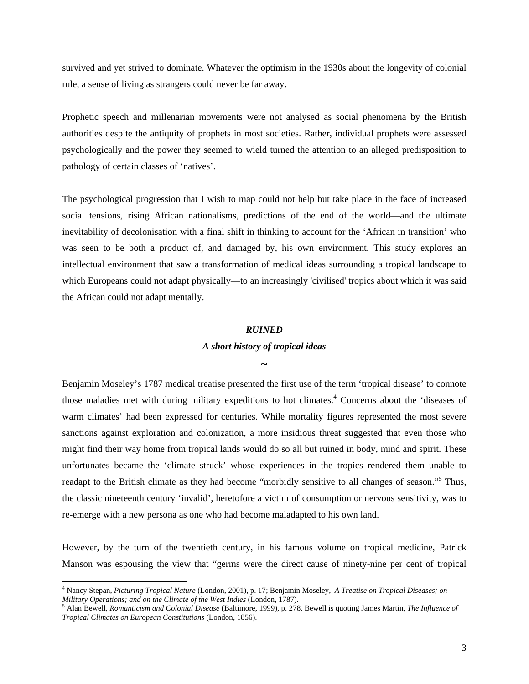survived and yet strived to dominate. Whatever the optimism in the 1930s about the longevity of colonial rule, a sense of living as strangers could never be far away.

Prophetic speech and millenarian movements were not analysed as social phenomena by the British authorities despite the antiquity of prophets in most societies. Rather, individual prophets were assessed psychologically and the power they seemed to wield turned the attention to an alleged predisposition to pathology of certain classes of 'natives'.

The psychological progression that I wish to map could not help but take place in the face of increased social tensions, rising African nationalisms, predictions of the end of the world—and the ultimate inevitability of decolonisation with a final shift in thinking to account for the 'African in transition' who was seen to be both a product of, and damaged by, his own environment. This study explores an intellectual environment that saw a transformation of medical ideas surrounding a tropical landscape to which Europeans could not adapt physically—to an increasingly 'civilised' tropics about which it was said the African could not adapt mentally.

#### *RUINED*

#### *A short history of tropical ideas*

**~** 

Benjamin Moseley's 1787 medical treatise presented the first use of the term 'tropical disease' to connote those maladies met with during military expeditions to hot climates.<sup>4</sup> Concerns about the 'diseases of warm climates' had been expressed for centuries. While mortality figures represented the most severe sanctions against exploration and colonization, a more insidious threat suggested that even those who might find their way home from tropical lands would do so all but ruined in body, mind and spirit. These unfortunates became the 'climate struck' whose experiences in the tropics rendered them unable to readapt to the British climate as they had become "morbidly sensitive to all changes of season."<sup>5</sup> Thus, the classic nineteenth century 'invalid', heretofore a victim of consumption or nervous sensitivity, was to re-emerge with a new persona as one who had become maladapted to his own land.

However, by the turn of the twentieth century, in his famous volume on tropical medicine, Patrick Manson was espousing the view that "germs were the direct cause of ninety-nine per cent of tropical

<sup>4</sup> Nancy Stepan, *Picturing Tropical Nature* (London, 2001), p. 17; Benjamin Moseley, *A Treatise on Tropical Diseases; on Military Operations; and on the Climate of the West Indies* (London, 1787). 5

Alan Bewell, *Romanticism and Colonial Disease* (Baltimore, 1999), p. 278. Bewell is quoting James Martin, *The Influence of Tropical Climates on European Constitutions* (London, 1856).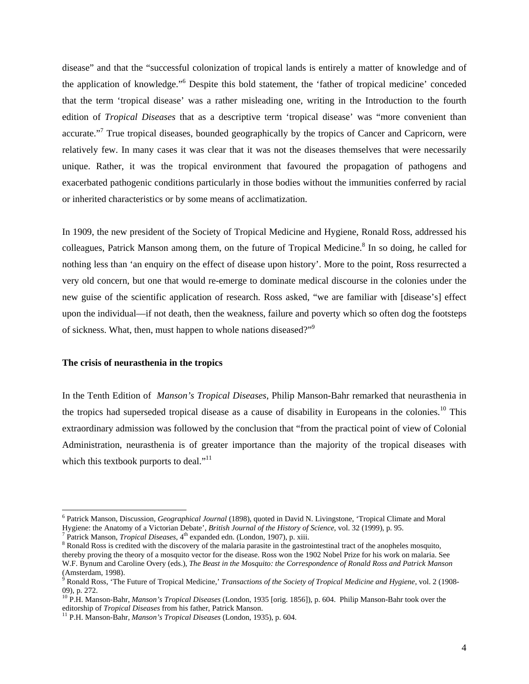disease" and that the "successful colonization of tropical lands is entirely a matter of knowledge and of the application of knowledge."<sup>6</sup> Despite this bold statement, the 'father of tropical medicine' conceded that the term 'tropical disease' was a rather misleading one, writing in the Introduction to the fourth edition of *Tropical Diseases* that as a descriptive term 'tropical disease' was "more convenient than accurate."<sup>7</sup> True tropical diseases, bounded geographically by the tropics of Cancer and Capricorn, were relatively few. In many cases it was clear that it was not the diseases themselves that were necessarily unique. Rather, it was the tropical environment that favoured the propagation of pathogens and exacerbated pathogenic conditions particularly in those bodies without the immunities conferred by racial or inherited characteristics or by some means of acclimatization.

In 1909, the new president of the Society of Tropical Medicine and Hygiene, Ronald Ross, addressed his colleagues, Patrick Manson among them, on the future of Tropical Medicine.<sup>8</sup> In so doing, he called for nothing less than 'an enquiry on the effect of disease upon history'. More to the point, Ross resurrected a very old concern, but one that would re-emerge to dominate medical discourse in the colonies under the new guise of the scientific application of research. Ross asked, "we are familiar with [disease's] effect upon the individual—if not death, then the weakness, failure and poverty which so often dog the footsteps of sickness. What, then, must happen to whole nations diseased?"<sup>9</sup>

#### **The crisis of neurasthenia in the tropics**

l

In the Tenth Edition of *Manson's Tropical Diseases*, Philip Manson-Bahr remarked that neurasthenia in the tropics had superseded tropical disease as a cause of disability in Europeans in the colonies.10 This extraordinary admission was followed by the conclusion that "from the practical point of view of Colonial Administration, neurasthenia is of greater importance than the majority of the tropical diseases with which this textbook purports to deal."<sup>11</sup>

<sup>6</sup> Patrick Manson, Discussion, *Geographical Journal* (1898), quoted in David N. Livingstone, 'Tropical Climate and Moral Hygiene: the Anatomy of a Victorian Debate', *British Journal of the History of Science*, vol. 32 (1999), p. 95. 7

<sup>&</sup>lt;sup>7</sup> Patrick Manson, *Tropical Diseases*, 4<sup>th</sup> expanded edn. (London, 1907), p. xiii.

<sup>&</sup>lt;sup>8</sup> Ronald Ross is credited with the discovery of the malaria parasite in the gastrointestinal tract of the anopheles mosquito, thereby proving the theory of a mosquito vector for the disease. Ross won the 1902 Nobel Prize for his work on malaria. See W.F. Bynum and Caroline Overy (eds.), *The Beast in the Mosquito: the Correspondence of Ronald Ross and Patrick Manson* (Amsterdam, 1998).

<sup>9</sup> Ronald Ross, 'The Future of Tropical Medicine,' *Transactions of the Society of Tropical Medicine and Hygiene*, vol. 2 (1908- 09), p. 272.

<sup>10</sup> P.H. Manson-Bahr, *Manson's Tropical Diseases* (London, 1935 [orig. 1856]), p. 604. Philip Manson-Bahr took over the editorship of *Tropical Diseases* from his father, Patrick Manson. 11 P.H. Manson-Bahr, *Manson's Tropical Diseases* (London, 1935), p. 604.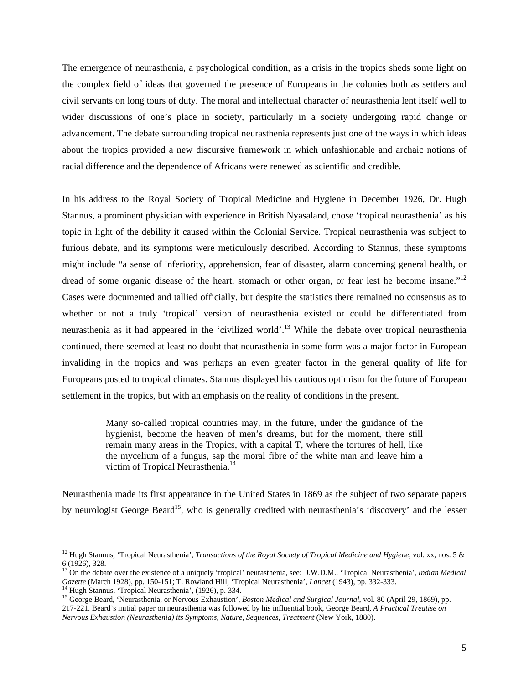The emergence of neurasthenia, a psychological condition, as a crisis in the tropics sheds some light on the complex field of ideas that governed the presence of Europeans in the colonies both as settlers and civil servants on long tours of duty. The moral and intellectual character of neurasthenia lent itself well to wider discussions of one's place in society, particularly in a society undergoing rapid change or advancement. The debate surrounding tropical neurasthenia represents just one of the ways in which ideas about the tropics provided a new discursive framework in which unfashionable and archaic notions of racial difference and the dependence of Africans were renewed as scientific and credible.

In his address to the Royal Society of Tropical Medicine and Hygiene in December 1926, Dr. Hugh Stannus, a prominent physician with experience in British Nyasaland, chose 'tropical neurasthenia' as his topic in light of the debility it caused within the Colonial Service. Tropical neurasthenia was subject to furious debate, and its symptoms were meticulously described. According to Stannus, these symptoms might include "a sense of inferiority, apprehension, fear of disaster, alarm concerning general health, or dread of some organic disease of the heart, stomach or other organ, or fear lest he become insane."<sup>12</sup> Cases were documented and tallied officially, but despite the statistics there remained no consensus as to whether or not a truly 'tropical' version of neurasthenia existed or could be differentiated from neurasthenia as it had appeared in the 'civilized world'.<sup>13</sup> While the debate over tropical neurasthenia continued, there seemed at least no doubt that neurasthenia in some form was a major factor in European invaliding in the tropics and was perhaps an even greater factor in the general quality of life for Europeans posted to tropical climates. Stannus displayed his cautious optimism for the future of European settlement in the tropics, but with an emphasis on the reality of conditions in the present.

> Many so-called tropical countries may, in the future, under the guidance of the hygienist, become the heaven of men's dreams, but for the moment, there still remain many areas in the Tropics, with a capital T, where the tortures of hell, like the mycelium of a fungus, sap the moral fibre of the white man and leave him a victim of Tropical Neurasthenia.<sup>14</sup>

Neurasthenia made its first appearance in the United States in 1869 as the subject of two separate papers by neurologist George Beard<sup>15</sup>, who is generally credited with neurasthenia's 'discovery' and the lesser

-

<sup>12</sup> Hugh Stannus, 'Tropical Neurasthenia', *Transactions of the Royal Society of Tropical Medicine and Hygiene*, vol. xx, nos. 5 & 6 (1926), 328.

<sup>13</sup> On the debate over the existence of a uniquely 'tropical' neurasthenia, see: J.W.D.M., 'Tropical Neurasthenia', *Indian Medical Gazette* (March 1928), pp. 150-151; T. Rowland Hill, 'Tropical Neurasthenia', *Lancet* (1943), pp. 332-333.<br><sup>14</sup> Hugh Stannus, 'Tropical Neurasthenia', (1926), p. 334.

<sup>15</sup> George Beard, 'Neurasthenia, or Nervous Exhaustion', *Boston Medical and Surgical Journal*, vol. 80 (April 29, 1869), pp. 217-221. Beard's initial paper on neurasthenia was followed by his influential book, George Beard, *A Practical Treatise on Nervous Exhaustion (Neurasthenia) its Symptoms, Nature, Sequences, Treatment* (New York, 1880).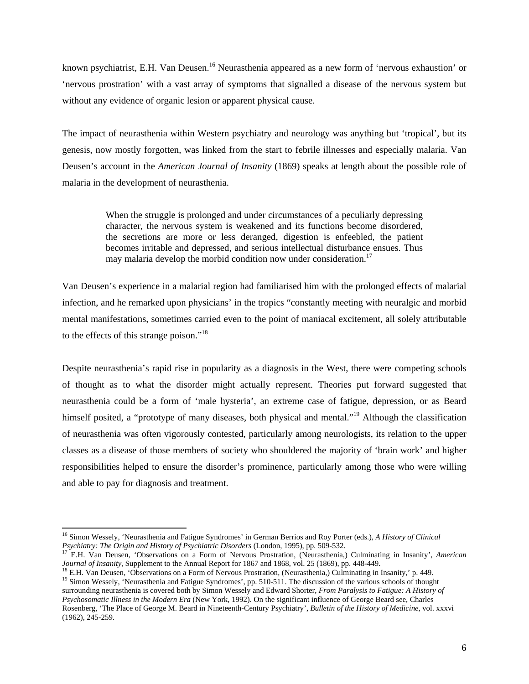known psychiatrist, E.H. Van Deusen.<sup>16</sup> Neurasthenia appeared as a new form of 'nervous exhaustion' or 'nervous prostration' with a vast array of symptoms that signalled a disease of the nervous system but without any evidence of organic lesion or apparent physical cause.

The impact of neurasthenia within Western psychiatry and neurology was anything but 'tropical', but its genesis, now mostly forgotten, was linked from the start to febrile illnesses and especially malaria. Van Deusen's account in the *American Journal of Insanity* (1869) speaks at length about the possible role of malaria in the development of neurasthenia.

> When the struggle is prolonged and under circumstances of a peculiarly depressing character, the nervous system is weakened and its functions become disordered, the secretions are more or less deranged, digestion is enfeebled, the patient becomes irritable and depressed, and serious intellectual disturbance ensues. Thus may malaria develop the morbid condition now under consideration.<sup>17</sup>

Van Deusen's experience in a malarial region had familiarised him with the prolonged effects of malarial infection, and he remarked upon physicians' in the tropics "constantly meeting with neuralgic and morbid mental manifestations, sometimes carried even to the point of maniacal excitement, all solely attributable to the effects of this strange poison."18

Despite neurasthenia's rapid rise in popularity as a diagnosis in the West, there were competing schools of thought as to what the disorder might actually represent. Theories put forward suggested that neurasthenia could be a form of 'male hysteria', an extreme case of fatigue, depression, or as Beard himself posited, a "prototype of many diseases, both physical and mental."<sup>19</sup> Although the classification of neurasthenia was often vigorously contested, particularly among neurologists, its relation to the upper classes as a disease of those members of society who shouldered the majority of 'brain work' and higher responsibilities helped to ensure the disorder's prominence, particularly among those who were willing and able to pay for diagnosis and treatment.

1

<sup>16</sup> Simon Wessely, 'Neurasthenia and Fatigue Syndromes' in German Berrios and Roy Porter (eds.), *A History of Clinical Psychiatry: The Origin and History of Psychiatric Disorders* (London, 1995), pp. 509-532.<br><sup>17</sup> E.H. Van Deusen, 'Observations on a Form of Nervous Prostration, (Neurasthenia,) Culminating in Insanity', *American* 

*Journal of Insanity*, Supplement to the Annual Report for 1867 and 1868, vol. 25 (1869), pp. 448-449.<br><sup>18</sup> E.H. Van Deusen, 'Observations on a Form of Nervous Prostration, (Neurasthenia,) Culminating in Insanity,' p. 449. surrounding neurasthenia is covered both by Simon Wessely and Edward Shorter, *From Paralysis to Fatigue: A History of Psychosomatic Illness in the Modern Era* (New York, 1992). On the significant influence of George Beard see, Charles Rosenberg, 'The Place of George M. Beard in Nineteenth-Century Psychiatry', *Bulletin of the History of Medicine*, vol. xxxvi (1962), 245-259.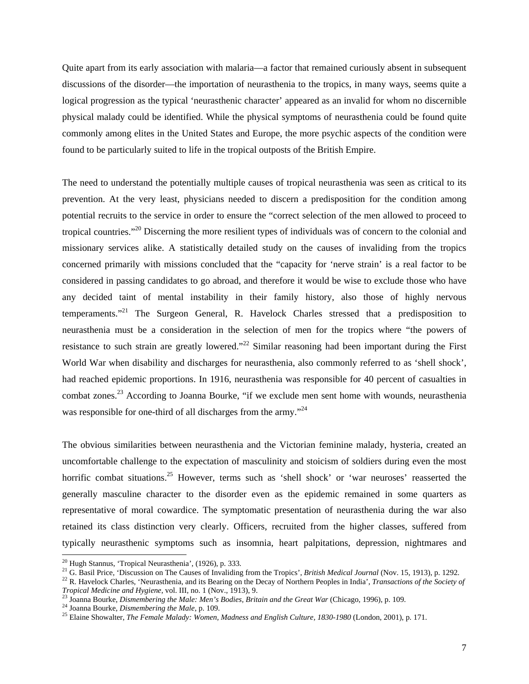Quite apart from its early association with malaria—a factor that remained curiously absent in subsequent discussions of the disorder—the importation of neurasthenia to the tropics, in many ways, seems quite a logical progression as the typical 'neurasthenic character' appeared as an invalid for whom no discernible physical malady could be identified. While the physical symptoms of neurasthenia could be found quite commonly among elites in the United States and Europe, the more psychic aspects of the condition were found to be particularly suited to life in the tropical outposts of the British Empire.

The need to understand the potentially multiple causes of tropical neurasthenia was seen as critical to its prevention. At the very least, physicians needed to discern a predisposition for the condition among potential recruits to the service in order to ensure the "correct selection of the men allowed to proceed to tropical countries."20 Discerning the more resilient types of individuals was of concern to the colonial and missionary services alike. A statistically detailed study on the causes of invaliding from the tropics concerned primarily with missions concluded that the "capacity for 'nerve strain' is a real factor to be considered in passing candidates to go abroad, and therefore it would be wise to exclude those who have any decided taint of mental instability in their family history, also those of highly nervous temperaments."<sup>21</sup> The Surgeon General, R. Havelock Charles stressed that a predisposition to neurasthenia must be a consideration in the selection of men for the tropics where "the powers of resistance to such strain are greatly lowered."<sup>22</sup> Similar reasoning had been important during the First World War when disability and discharges for neurasthenia, also commonly referred to as 'shell shock', had reached epidemic proportions. In 1916, neurasthenia was responsible for 40 percent of casualties in combat zones.<sup>23</sup> According to Joanna Bourke, "if we exclude men sent home with wounds, neurasthenia was responsible for one-third of all discharges from the army."<sup>24</sup>

The obvious similarities between neurasthenia and the Victorian feminine malady, hysteria, created an uncomfortable challenge to the expectation of masculinity and stoicism of soldiers during even the most horrific combat situations.<sup>25</sup> However, terms such as 'shell shock' or 'war neuroses' reasserted the generally masculine character to the disorder even as the epidemic remained in some quarters as representative of moral cowardice. The symptomatic presentation of neurasthenia during the war also retained its class distinction very clearly. Officers, recruited from the higher classes, suffered from typically neurasthenic symptoms such as insomnia, heart palpitations, depression, nightmares and

 $^{20}$  Hugh Stannus, 'Tropical Neurasthenia', (1926), p. 333.

<sup>&</sup>lt;sup>21</sup> G. Basil Price, 'Discussion on The Causes of Invaliding from the Tropics', *British Medical Journal* (Nov. 15, 1913), p. 1292.<br><sup>22</sup> R. Havelock Charles, 'Neurasthenia, and its Bearing on the Decay of Northern Peoples

Tropical Medicine and Hygiene, vol. III, no. 1 (Nov., 1913), 9.<br><sup>23</sup> Joanna Bourke, *Dismembering the Male: Men's Bodies, Britain and the Great War* (Chicago, 1996), p. 109.<br><sup>24</sup> Joanna Bourke, *Dismembering the Male*, p.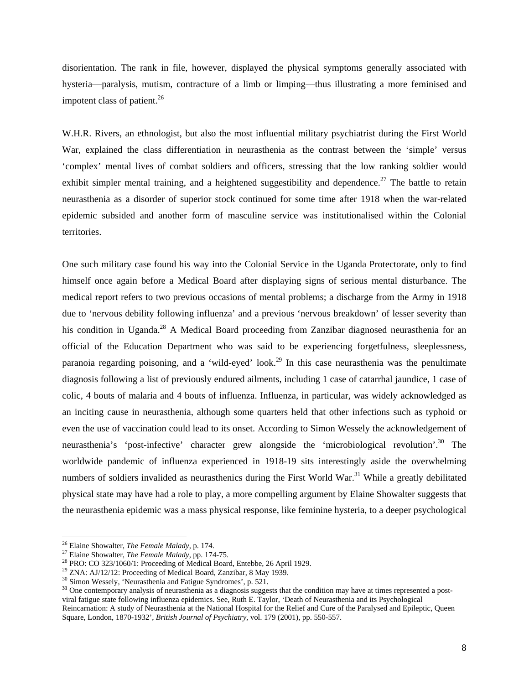disorientation. The rank in file, however, displayed the physical symptoms generally associated with hysteria—paralysis, mutism, contracture of a limb or limping—thus illustrating a more feminised and impotent class of patient. $^{26}$ 

W.H.R. Rivers, an ethnologist, but also the most influential military psychiatrist during the First World War, explained the class differentiation in neurasthenia as the contrast between the 'simple' versus 'complex' mental lives of combat soldiers and officers, stressing that the low ranking soldier would exhibit simpler mental training, and a heightened suggestibility and dependence.<sup>27</sup> The battle to retain neurasthenia as a disorder of superior stock continued for some time after 1918 when the war-related epidemic subsided and another form of masculine service was institutionalised within the Colonial territories.

One such military case found his way into the Colonial Service in the Uganda Protectorate, only to find himself once again before a Medical Board after displaying signs of serious mental disturbance. The medical report refers to two previous occasions of mental problems; a discharge from the Army in 1918 due to 'nervous debility following influenza' and a previous 'nervous breakdown' of lesser severity than his condition in Uganda.<sup>28</sup> A Medical Board proceeding from Zanzibar diagnosed neurasthenia for an official of the Education Department who was said to be experiencing forgetfulness, sleeplessness, paranoia regarding poisoning, and a 'wild-eyed' look.<sup>29</sup> In this case neurasthenia was the penultimate diagnosis following a list of previously endured ailments, including 1 case of catarrhal jaundice, 1 case of colic, 4 bouts of malaria and 4 bouts of influenza. Influenza, in particular, was widely acknowledged as an inciting cause in neurasthenia, although some quarters held that other infections such as typhoid or even the use of vaccination could lead to its onset. According to Simon Wessely the acknowledgement of neurasthenia's 'post-infective' character grew alongside the 'microbiological revolution'.<sup>30</sup> The worldwide pandemic of influenza experienced in 1918-19 sits interestingly aside the overwhelming numbers of soldiers invalided as neurasthenics during the First World War.<sup>31</sup> While a greatly debilitated physical state may have had a role to play, a more compelling argument by Elaine Showalter suggests that the neurasthenia epidemic was a mass physical response, like feminine hysteria, to a deeper psychological

<sup>&</sup>lt;sup>26</sup> Elaine Showalter, *The Female Malady*, p. 174.<br><sup>27</sup> Elaine Showalter, *The Female Malady*, pp. 174-75.<br><sup>28</sup> PRO: CO 323/1060/1: Proceeding of Medical Board, Entebbe, 26 April 1929.<br><sup>29</sup> ZNA: AJ/12/12: Proceeding of M

<sup>&</sup>lt;sup>31</sup> One contemporary analysis of neurasthenia as a diagnosis suggests that the condition may have at times represented a postviral fatigue state following influenza epidemics. See, Ruth E. Taylor, 'Death of Neurasthenia and its Psychological Reincarnation: A study of Neurasthenia at the National Hospital for the Relief and Cure of the Paralysed and Epileptic, Queen Square, London, 1870-1932', *British Journal of Psychiatry*, vol. 179 (2001), pp. 550-557.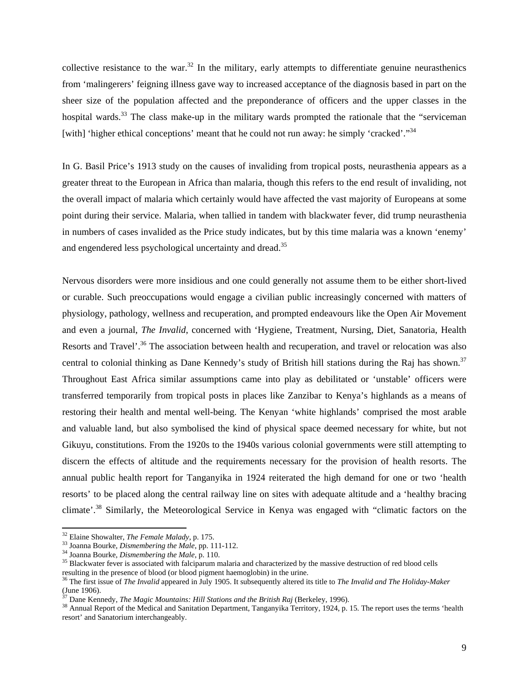collective resistance to the war.<sup>32</sup> In the military, early attempts to differentiate genuine neurasthenics from 'malingerers' feigning illness gave way to increased acceptance of the diagnosis based in part on the sheer size of the population affected and the preponderance of officers and the upper classes in the hospital wards.<sup>33</sup> The class make-up in the military wards prompted the rationale that the "serviceman" [with] 'higher ethical conceptions' meant that he could not run away: he simply 'cracked'."<sup>34</sup>

In G. Basil Price's 1913 study on the causes of invaliding from tropical posts, neurasthenia appears as a greater threat to the European in Africa than malaria, though this refers to the end result of invaliding, not the overall impact of malaria which certainly would have affected the vast majority of Europeans at some point during their service. Malaria, when tallied in tandem with blackwater fever, did trump neurasthenia in numbers of cases invalided as the Price study indicates, but by this time malaria was a known 'enemy' and engendered less psychological uncertainty and dread.<sup>35</sup>

Nervous disorders were more insidious and one could generally not assume them to be either short-lived or curable. Such preoccupations would engage a civilian public increasingly concerned with matters of physiology, pathology, wellness and recuperation, and prompted endeavours like the Open Air Movement and even a journal, *The Invalid*, concerned with 'Hygiene, Treatment, Nursing, Diet, Sanatoria, Health Resorts and Travel'.<sup>36</sup> The association between health and recuperation, and travel or relocation was also central to colonial thinking as Dane Kennedy's study of British hill stations during the Raj has shown.<sup>37</sup> Throughout East Africa similar assumptions came into play as debilitated or 'unstable' officers were transferred temporarily from tropical posts in places like Zanzibar to Kenya's highlands as a means of restoring their health and mental well-being. The Kenyan 'white highlands' comprised the most arable and valuable land, but also symbolised the kind of physical space deemed necessary for white, but not Gikuyu, constitutions. From the 1920s to the 1940s various colonial governments were still attempting to discern the effects of altitude and the requirements necessary for the provision of health resorts. The annual public health report for Tanganyika in 1924 reiterated the high demand for one or two 'health resorts' to be placed along the central railway line on sites with adequate altitude and a 'healthy bracing climate'.38 Similarly, the Meteorological Service in Kenya was engaged with "climatic factors on the

<sup>&</sup>lt;sup>32</sup> Elaine Showalter, *The Female Malady*, p. 175.

<sup>&</sup>lt;sup>33</sup> Joanna Bourke, *Dismembering the Male*, pp. 111-112.<br><sup>34</sup> Joanna Bourke, *Dismembering the Male*, p. 110.<br><sup>35</sup> Blackwater fever is associated with falciparum malaria and characterized by the massive destruction of re resulting in the presence of blood (or blood pigment haemoglobin) in the urine.

<sup>36</sup> The first issue of *The Invalid* appeared in July 1905. It subsequently altered its title to *The Invalid and The Holiday-Maker* (June 1906).<br> $\frac{1}{37}$  Dane Kennedy, *The Magic Mountains: Hill Stations and the British Raj* (Berkeley, 1996).

<sup>&</sup>lt;sup>38</sup> Annual Report of the Medical and Sanitation Department, Tanganyika Territory, 1924, p. 15. The report uses the terms 'health resort' and Sanatorium interchangeably.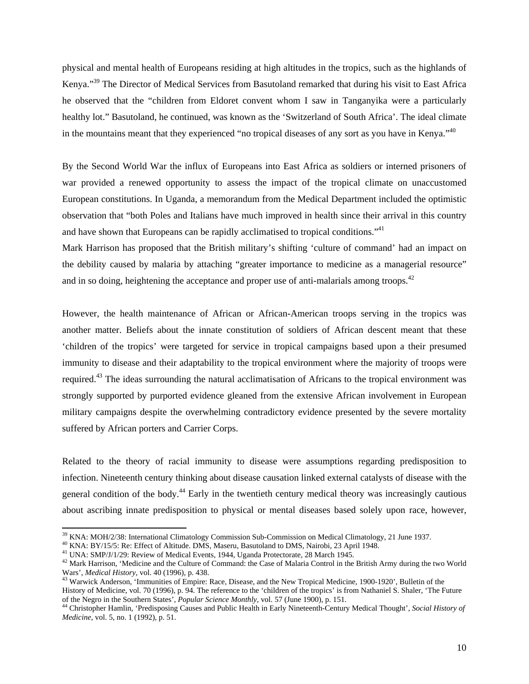physical and mental health of Europeans residing at high altitudes in the tropics, such as the highlands of Kenya."39 The Director of Medical Services from Basutoland remarked that during his visit to East Africa he observed that the "children from Eldoret convent whom I saw in Tanganyika were a particularly healthy lot." Basutoland, he continued, was known as the 'Switzerland of South Africa'. The ideal climate in the mountains meant that they experienced "no tropical diseases of any sort as you have in Kenya."<sup>40</sup>

By the Second World War the influx of Europeans into East Africa as soldiers or interned prisoners of war provided a renewed opportunity to assess the impact of the tropical climate on unaccustomed European constitutions. In Uganda, a memorandum from the Medical Department included the optimistic observation that "both Poles and Italians have much improved in health since their arrival in this country and have shown that Europeans can be rapidly acclimatised to tropical conditions."<sup>41</sup>

Mark Harrison has proposed that the British military's shifting 'culture of command' had an impact on the debility caused by malaria by attaching "greater importance to medicine as a managerial resource" and in so doing, heightening the acceptance and proper use of anti-malarials among troops.<sup>42</sup>

However, the health maintenance of African or African-American troops serving in the tropics was another matter. Beliefs about the innate constitution of soldiers of African descent meant that these 'children of the tropics' were targeted for service in tropical campaigns based upon a their presumed immunity to disease and their adaptability to the tropical environment where the majority of troops were required.<sup>43</sup> The ideas surrounding the natural acclimatisation of Africans to the tropical environment was strongly supported by purported evidence gleaned from the extensive African involvement in European military campaigns despite the overwhelming contradictory evidence presented by the severe mortality suffered by African porters and Carrier Corps.

Related to the theory of racial immunity to disease were assumptions regarding predisposition to infection. Nineteenth century thinking about disease causation linked external catalysts of disease with the general condition of the body.<sup>44</sup> Early in the twentieth century medical theory was increasingly cautious about ascribing innate predisposition to physical or mental diseases based solely upon race, however,

<sup>&</sup>lt;sup>39</sup> KNA: MOH/2/38: International Climatology Commission Sub-Commission on Medical Climatology, 21 June 1937.

<sup>&</sup>lt;sup>40</sup> KNA: BY/15/5: Re: Effect of Altitude. DMS, Maseru, Basutoland to DMS, Nairobi, 23 April 1948.<br><sup>41</sup> UNA: SMP/J/1/29: Review of Medical Events, 1944, Uganda Protectorate, 28 March 1945.<br><sup>42</sup> Mark Harrison, 'Medicine an Wars', *Medical History*, vol. 40 (1996), p. 438.<br><sup>43</sup> Warwick Anderson, 'Immunities of Empire: Race, Disease, and the New Tropical Medicine, 1900-1920', Bulletin of the

History of Medicine, vol. 70 (1996), p. 94. The reference to the 'children of the tropics' is from Nathaniel S. Shaler, 'The Future of the Negro in the Southern States', Popular Science Monthly, vol. 57 (June 1900), p. 151.<br><sup>44</sup> Christopher Hamlin, 'Predisposing Causes and Public Health in Early Nineteenth-Century Medical Thought', Social History of

*Medicine*, vol. 5, no. 1 (1992), p. 51.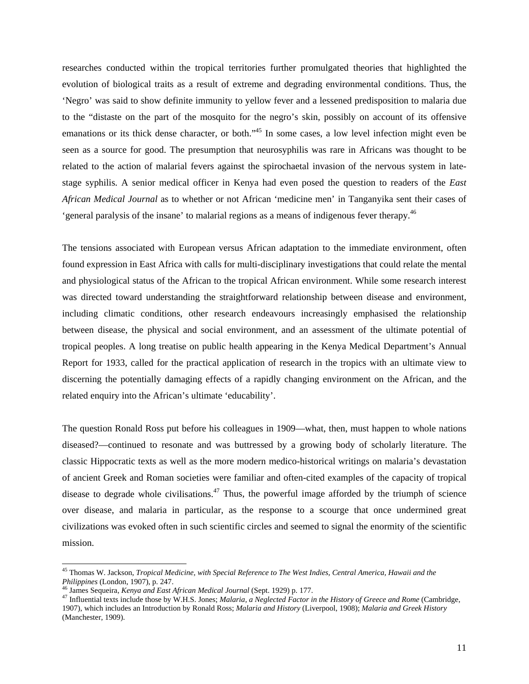researches conducted within the tropical territories further promulgated theories that highlighted the evolution of biological traits as a result of extreme and degrading environmental conditions. Thus, the 'Negro' was said to show definite immunity to yellow fever and a lessened predisposition to malaria due to the "distaste on the part of the mosquito for the negro's skin, possibly on account of its offensive emanations or its thick dense character, or both."<sup>45</sup> In some cases, a low level infection might even be seen as a source for good. The presumption that neurosyphilis was rare in Africans was thought to be related to the action of malarial fevers against the spirochaetal invasion of the nervous system in latestage syphilis. A senior medical officer in Kenya had even posed the question to readers of the *East African Medical Journal* as to whether or not African 'medicine men' in Tanganyika sent their cases of 'general paralysis of the insane' to malarial regions as a means of indigenous fever therapy. $46$ 

The tensions associated with European versus African adaptation to the immediate environment, often found expression in East Africa with calls for multi-disciplinary investigations that could relate the mental and physiological status of the African to the tropical African environment. While some research interest was directed toward understanding the straightforward relationship between disease and environment, including climatic conditions, other research endeavours increasingly emphasised the relationship between disease, the physical and social environment, and an assessment of the ultimate potential of tropical peoples. A long treatise on public health appearing in the Kenya Medical Department's Annual Report for 1933, called for the practical application of research in the tropics with an ultimate view to discerning the potentially damaging effects of a rapidly changing environment on the African, and the related enquiry into the African's ultimate 'educability'.

The question Ronald Ross put before his colleagues in 1909—what, then, must happen to whole nations diseased?—continued to resonate and was buttressed by a growing body of scholarly literature. The classic Hippocratic texts as well as the more modern medico-historical writings on malaria's devastation of ancient Greek and Roman societies were familiar and often-cited examples of the capacity of tropical disease to degrade whole civilisations.<sup>47</sup> Thus, the powerful image afforded by the triumph of science over disease, and malaria in particular, as the response to a scourge that once undermined great civilizations was evoked often in such scientific circles and seemed to signal the enormity of the scientific mission.

<sup>45</sup> Thomas W. Jackson, *Tropical Medicine, with Special Reference to The West Indies, Central America, Hawaii and the* 

<sup>46</sup> James Sequeira, *Kenya and East African Medical Journal* (Sept. 1929) p. 177.<br><sup>46</sup> Influential texts include those by W.H.S. Jones; *Malaria, a Neglected Factor in the History of Greece and Rome* (Cambridge, 1907), which includes an Introduction by Ronald Ross; *Malaria and History* (Liverpool, 1908); *Malaria and Greek History* (Manchester, 1909).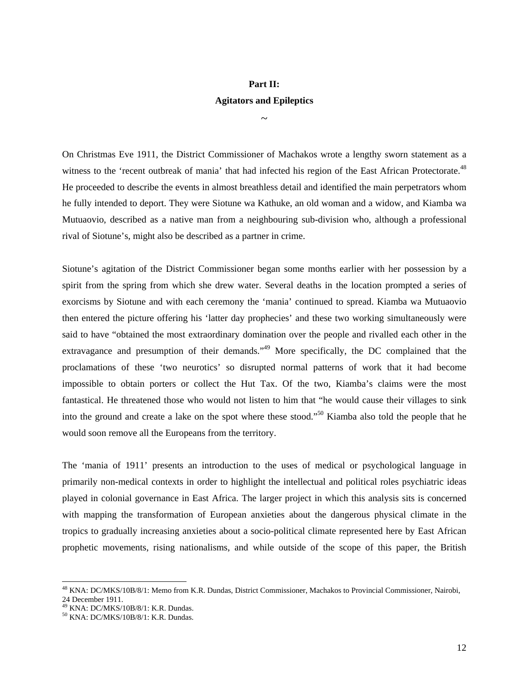# **Part II: Agitators and Epileptics**

 $\sim$ 

On Christmas Eve 1911, the District Commissioner of Machakos wrote a lengthy sworn statement as a witness to the 'recent outbreak of mania' that had infected his region of the East African Protectorate.<sup>48</sup> He proceeded to describe the events in almost breathless detail and identified the main perpetrators whom he fully intended to deport. They were Siotune wa Kathuke, an old woman and a widow, and Kiamba wa Mutuaovio, described as a native man from a neighbouring sub-division who, although a professional rival of Siotune's, might also be described as a partner in crime.

Siotune's agitation of the District Commissioner began some months earlier with her possession by a spirit from the spring from which she drew water. Several deaths in the location prompted a series of exorcisms by Siotune and with each ceremony the 'mania' continued to spread. Kiamba wa Mutuaovio then entered the picture offering his 'latter day prophecies' and these two working simultaneously were said to have "obtained the most extraordinary domination over the people and rivalled each other in the extravagance and presumption of their demands."<sup>49</sup> More specifically, the DC complained that the proclamations of these 'two neurotics' so disrupted normal patterns of work that it had become impossible to obtain porters or collect the Hut Tax. Of the two, Kiamba's claims were the most fantastical. He threatened those who would not listen to him that "he would cause their villages to sink into the ground and create a lake on the spot where these stood."50 Kiamba also told the people that he would soon remove all the Europeans from the territory.

The 'mania of 1911' presents an introduction to the uses of medical or psychological language in primarily non-medical contexts in order to highlight the intellectual and political roles psychiatric ideas played in colonial governance in East Africa. The larger project in which this analysis sits is concerned with mapping the transformation of European anxieties about the dangerous physical climate in the tropics to gradually increasing anxieties about a socio-political climate represented here by East African prophetic movements, rising nationalisms, and while outside of the scope of this paper, the British

<sup>48</sup> KNA: DC/MKS/10B/8/1: Memo from K.R. Dundas, District Commissioner, Machakos to Provincial Commissioner, Nairobi, 24 December 1911.

<sup>49</sup> KNA: DC/MKS/10B/8/1: K.R. Dundas.

<sup>50</sup> KNA: DC/MKS/10B/8/1: K.R. Dundas.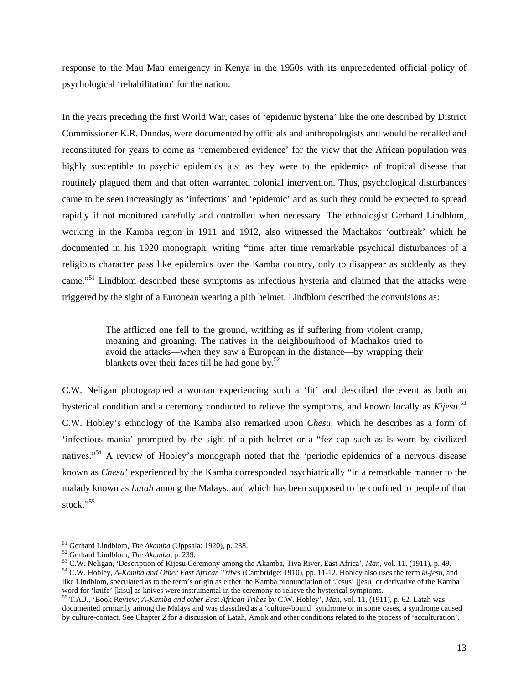response to the Mau Mau emergency in Kenya in the 1950s with its unprecedented official policy of psychological 'rehabilitation' for the nation.

In the years preceding the first World War, cases of 'epidemic hysteria' like the one described by District Commissioner K.R. Dundas, were documented by officials and anthropologists and would be recalled and reconstituted for years to come as 'remembered evidence' for the view that the African population was highly susceptible to psychic epidemics just as they were to the epidemics of tropical disease that routinely plagued them and that often warranted colonial intervention. Thus, psychological disturbances came to be seen increasingly as 'infectious' and 'epidemic' and as such they could be expected to spread rapidly if not monitored carefully and controlled when necessary. The ethnologist Gerhard Lindblom, working in the Kamba region in 1911 and 1912, also witnessed the Machakos 'outbreak' which he documented in his 1920 monograph, writing "time after time remarkable psychical disturbances of a religious character pass like epidemics over the Kamba country, only to disappear as suddenly as they came."51 Lindblom described these symptoms as infectious hysteria and claimed that the attacks were triggered by the sight of a European wearing a pith helmet. Lindblom described the convulsions as:

> The afflicted one fell to the ground, writhing as if suffering from violent cramp, moaning and groaning. The natives in the neighbourhood of Machakos tried to avoid the attacks—when they saw a European in the distance—by wrapping their blankets over their faces till he had gone by. $52$

C.W. Neligan photographed a woman experiencing such a 'fit' and described the event as both an hysterical condition and a ceremony conducted to relieve the symptoms, and known locally as *Kijesu*. 53 C.W. Hobley's ethnology of the Kamba also remarked upon *Chesu,* which he describes as a form of 'infectious mania' prompted by the sight of a pith helmet or a "fez cap such as is worn by civilized natives."<sup>54</sup> A review of Hobley's monograph noted that the 'periodic epidemics of a nervous disease known as *Chesu*' experienced by the Kamba corresponded psychiatrically "in a remarkable manner to the malady known as *Latah* among the Malays, and which has been supposed to be confined to people of that stock."<sup>55</sup>

1

<sup>&</sup>lt;sup>51</sup> Gerhard Lindblom, *The Akamba* (Uppsala: 1920), p. 238.<br><sup>52</sup> Gerhard Lindblom, *The Akamba*, p. 239.<br><sup>53</sup> C.W. Neligan, 'Description of Kijesu Ceremony among the Akamba, Tiva River, East Africa', *Man*, vol. 11, (191

like Lindblom, speculated as to the term's origin as either the Kamba pronunciation of 'Jesus' [jesu] or derivative of the Kamba word for 'knife' [kisu] as knives were instrumental in the ceremony to relieve the hysterical symptoms.

<sup>55</sup> T.A.J., 'Book Review; *A-Kamba and other East African Tribes* by C.W. Hobley', *Man*, vol. 11, (1911), p. 62. Latah was documented primarily among the Malays and was classified as a 'culture-bound' syndrome or in some cases, a syndrome caused by culture-contact. See Chapter 2 for a discussion of Latah, Amok and other conditions related to the process of 'acculturation'.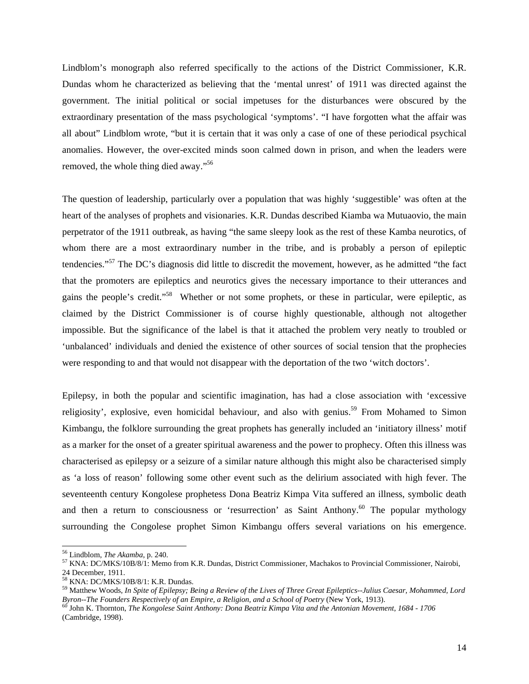Lindblom's monograph also referred specifically to the actions of the District Commissioner, K.R. Dundas whom he characterized as believing that the 'mental unrest' of 1911 was directed against the government. The initial political or social impetuses for the disturbances were obscured by the extraordinary presentation of the mass psychological 'symptoms'. "I have forgotten what the affair was all about" Lindblom wrote, "but it is certain that it was only a case of one of these periodical psychical anomalies. However, the over-excited minds soon calmed down in prison, and when the leaders were removed, the whole thing died away."56

The question of leadership, particularly over a population that was highly 'suggestible' was often at the heart of the analyses of prophets and visionaries. K.R. Dundas described Kiamba wa Mutuaovio, the main perpetrator of the 1911 outbreak, as having "the same sleepy look as the rest of these Kamba neurotics, of whom there are a most extraordinary number in the tribe, and is probably a person of epileptic tendencies."57 The DC's diagnosis did little to discredit the movement, however, as he admitted "the fact that the promoters are epileptics and neurotics gives the necessary importance to their utterances and gains the people's credit."58 Whether or not some prophets, or these in particular, were epileptic, as claimed by the District Commissioner is of course highly questionable, although not altogether impossible. But the significance of the label is that it attached the problem very neatly to troubled or 'unbalanced' individuals and denied the existence of other sources of social tension that the prophecies were responding to and that would not disappear with the deportation of the two 'witch doctors'.

Epilepsy, in both the popular and scientific imagination, has had a close association with 'excessive religiosity', explosive, even homicidal behaviour, and also with genius.<sup>59</sup> From Mohamed to Simon Kimbangu, the folklore surrounding the great prophets has generally included an 'initiatory illness' motif as a marker for the onset of a greater spiritual awareness and the power to prophecy. Often this illness was characterised as epilepsy or a seizure of a similar nature although this might also be characterised simply as 'a loss of reason' following some other event such as the delirium associated with high fever. The seventeenth century Kongolese prophetess Dona Beatriz Kimpa Vita suffered an illness, symbolic death and then a return to consciousness or 'resurrection' as Saint Anthony.<sup>60</sup> The popular mythology surrounding the Congolese prophet Simon Kimbangu offers several variations on his emergence.

-

<sup>&</sup>lt;sup>56</sup> Lindblom, *The Akamba*, p. 240.<br><sup>57</sup> KNA: DC/MKS/10B/8/1: Memo from K.R. Dundas, District Commissioner, Machakos to Provincial Commissioner, Nairobi,

<sup>24</sup> December, 1911.<br><sup>58</sup> KNA: DC/MKS/10B/8/1: K.R. Dundas.

<sup>&</sup>lt;sup>59</sup> Matthew Woods, In Spite of Epilepsy; Being a Review of the Lives of Three Great Epileptics--Julius Caesar, Mohammed, Lord Byron--The Founders Respectively of an Empire, a Religion, and a School of Poetry (New York, 1913).<br><sup>60</sup> John K. Thornton, *The Kongolese Saint Anthony: Dona Beatriz Kimpa Vita and the Antonian Movement, 1684 - 1706* 

<sup>(</sup>Cambridge, 1998).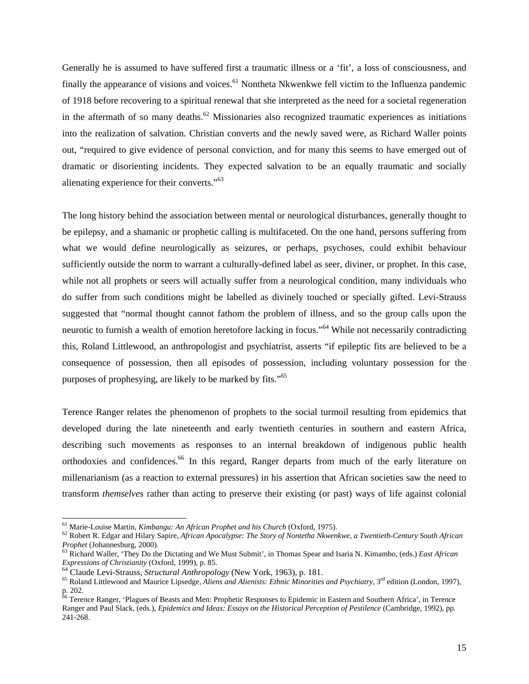Generally he is assumed to have suffered first a traumatic illness or a 'fit', a loss of consciousness, and finally the appearance of visions and voices.<sup>61</sup> Nontheta Nkwenkwe fell victim to the Influenza pandemic of 1918 before recovering to a spiritual renewal that she interpreted as the need for a societal regeneration in the aftermath of so many deaths.<sup>62</sup> Missionaries also recognized traumatic experiences as initiations into the realization of salvation. Christian converts and the newly saved were, as Richard Waller points out, "required to give evidence of personal conviction, and for many this seems to have emerged out of dramatic or disorienting incidents. They expected salvation to be an equally traumatic and socially alienating experience for their converts."<sup>63</sup>

The long history behind the association between mental or neurological disturbances, generally thought to be epilepsy, and a shamanic or prophetic calling is multifaceted. On the one hand, persons suffering from what we would define neurologically as seizures, or perhaps, psychoses, could exhibit behaviour sufficiently outside the norm to warrant a culturally-defined label as seer, diviner, or prophet. In this case, while not all prophets or seers will actually suffer from a neurological condition, many individuals who do suffer from such conditions might be labelled as divinely touched or specially gifted. Levi-Strauss suggested that "normal thought cannot fathom the problem of illness, and so the group calls upon the neurotic to furnish a wealth of emotion heretofore lacking in focus."64 While not necessarily contradicting this, Roland Littlewood, an anthropologist and psychiatrist, asserts "if epileptic fits are believed to be a consequence of possession, then all episodes of possession, including voluntary possession for the purposes of prophesying, are likely to be marked by fits."65

Terence Ranger relates the phenomenon of prophets to the social turmoil resulting from epidemics that developed during the late nineteenth and early twentieth centuries in southern and eastern Africa, describing such movements as responses to an internal breakdown of indigenous public health orthodoxies and confidences.<sup>66</sup> In this regard, Ranger departs from much of the early literature on millenarianism (as a reaction to external pressures) in his assertion that African societies saw the need to transform *themselves* rather than acting to preserve their existing (or past) ways of life against colonial

1

<sup>&</sup>lt;sup>61</sup> Marie-Louise Martin, *Kimbangu: An African Prophet and his Church* (Oxford, 1975).<br><sup>62</sup> Robert R. Edgar and Hilary Sapire, *African Apocalypse: The Story of Nontetha Nkwenkwe, a Twentieth-Century South African Prophet* (Johannesburg, 2000).<br><sup>63</sup> Richard Waller, 'They Do the Dictating and We Must Submit', in Thomas Spear and Isaria N. Kimambo, (eds.) *East African* 

*Expressions of Christianity* (Oxford, 1999), p. 85.<br><sup>64</sup> Claude Levi-Strauss, *Structural Anthropology* (New York, 1963), p. 181.<br><sup>65</sup> Roland Littlewood and Maurice Lipsedge, *Aliens and Alienists: Ethnic Minorities and P* 

p. 202.

<sup>&</sup>lt;sup>66</sup> Terence Ranger, 'Plagues of Beasts and Men: Prophetic Responses to Epidemic in Eastern and Southern Africa', in Terence Ranger and Paul Slack, (eds.), *Epidemics and Ideas: Essays on the Historical Perception of Pestilence* (Cambridge, 1992), pp. 241-268.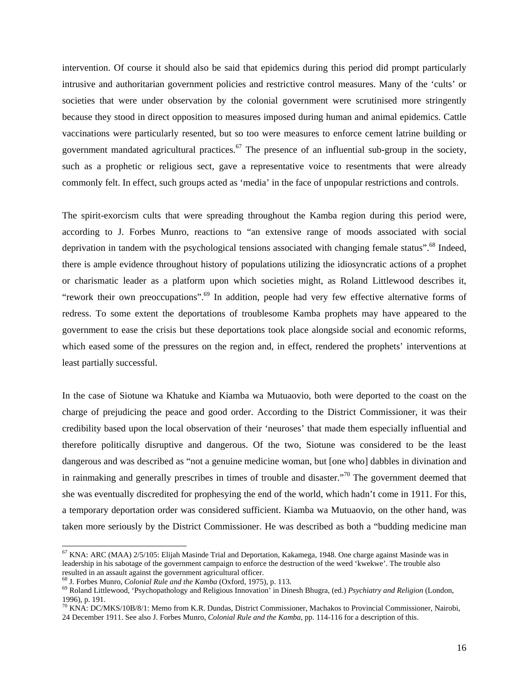intervention. Of course it should also be said that epidemics during this period did prompt particularly intrusive and authoritarian government policies and restrictive control measures. Many of the 'cults' or societies that were under observation by the colonial government were scrutinised more stringently because they stood in direct opposition to measures imposed during human and animal epidemics. Cattle vaccinations were particularly resented, but so too were measures to enforce cement latrine building or government mandated agricultural practices.<sup>67</sup> The presence of an influential sub-group in the society, such as a prophetic or religious sect, gave a representative voice to resentments that were already commonly felt. In effect, such groups acted as 'media' in the face of unpopular restrictions and controls.

The spirit-exorcism cults that were spreading throughout the Kamba region during this period were, according to J. Forbes Munro, reactions to "an extensive range of moods associated with social deprivation in tandem with the psychological tensions associated with changing female status".<sup>68</sup> Indeed, there is ample evidence throughout history of populations utilizing the idiosyncratic actions of a prophet or charismatic leader as a platform upon which societies might, as Roland Littlewood describes it, "rework their own preoccupations".<sup>69</sup> In addition, people had very few effective alternative forms of redress. To some extent the deportations of troublesome Kamba prophets may have appeared to the government to ease the crisis but these deportations took place alongside social and economic reforms, which eased some of the pressures on the region and, in effect, rendered the prophets' interventions at least partially successful.

In the case of Siotune wa Khatuke and Kiamba wa Mutuaovio, both were deported to the coast on the charge of prejudicing the peace and good order. According to the District Commissioner, it was their credibility based upon the local observation of their 'neuroses' that made them especially influential and therefore politically disruptive and dangerous. Of the two, Siotune was considered to be the least dangerous and was described as "not a genuine medicine woman, but [one who] dabbles in divination and in rainmaking and generally prescribes in times of trouble and disaster."70 The government deemed that she was eventually discredited for prophesying the end of the world, which hadn't come in 1911. For this, a temporary deportation order was considered sufficient. Kiamba wa Mutuaovio, on the other hand, was taken more seriously by the District Commissioner. He was described as both a "budding medicine man

 $^{67}$  KNA: ARC (MAA) 2/5/105: Elijah Masinde Trial and Deportation, Kakamega, 1948. One charge against Masinde was in leadership in his sabotage of the government campaign to enforce the destruction of the weed 'kwekwe'. The trouble also resulted in an assault against the government agricultural officer.

<sup>68</sup> J. Forbes Munro, *Colonial Rule and the Kamba* (Oxford, 1975), p. 113. 69 Roland Littlewood, 'Psychopathology and Religious Innovation' in Dinesh Bhugra, (ed.) *Psychiatry and Religion* (London, 1996), p. 191.

<sup>&</sup>lt;sup>70</sup> KNA: DC/MKS/10B/8/1: Memo from K.R. Dundas, District Commissioner, Machakos to Provincial Commissioner, Nairobi, 24 December 1911. See also J. Forbes Munro, *Colonial Rule and the Kamba*, pp. 114-116 for a description of this.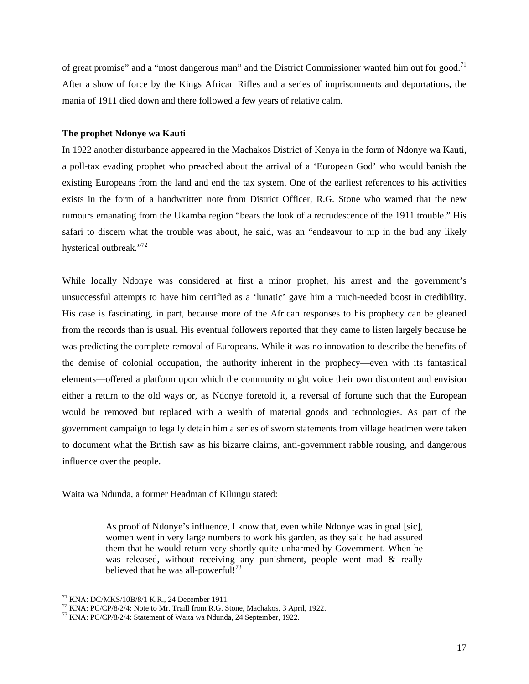of great promise" and a "most dangerous man" and the District Commissioner wanted him out for good.<sup>71</sup> After a show of force by the Kings African Rifles and a series of imprisonments and deportations, the mania of 1911 died down and there followed a few years of relative calm.

## **The prophet Ndonye wa Kauti**

In 1922 another disturbance appeared in the Machakos District of Kenya in the form of Ndonye wa Kauti, a poll-tax evading prophet who preached about the arrival of a 'European God' who would banish the existing Europeans from the land and end the tax system. One of the earliest references to his activities exists in the form of a handwritten note from District Officer, R.G. Stone who warned that the new rumours emanating from the Ukamba region "bears the look of a recrudescence of the 1911 trouble." His safari to discern what the trouble was about, he said, was an "endeavour to nip in the bud any likely hysterical outbreak."<sup>72</sup>

While locally Ndonye was considered at first a minor prophet, his arrest and the government's unsuccessful attempts to have him certified as a 'lunatic' gave him a much-needed boost in credibility. His case is fascinating, in part, because more of the African responses to his prophecy can be gleaned from the records than is usual. His eventual followers reported that they came to listen largely because he was predicting the complete removal of Europeans. While it was no innovation to describe the benefits of the demise of colonial occupation, the authority inherent in the prophecy—even with its fantastical elements—offered a platform upon which the community might voice their own discontent and envision either a return to the old ways or, as Ndonye foretold it, a reversal of fortune such that the European would be removed but replaced with a wealth of material goods and technologies. As part of the government campaign to legally detain him a series of sworn statements from village headmen were taken to document what the British saw as his bizarre claims, anti-government rabble rousing, and dangerous influence over the people.

Waita wa Ndunda, a former Headman of Kilungu stated:

As proof of Ndonye's influence, I know that, even while Ndonye was in goal [sic], women went in very large numbers to work his garden, as they said he had assured them that he would return very shortly quite unharmed by Government. When he was released, without receiving any punishment, people went mad & really believed that he was all-powerful!<sup>73</sup>

-

 $71$  KNA: DC/MKS/10B/8/1 K.R., 24 December 1911.

<sup>&</sup>lt;sup>72</sup> KNA: PC/CP/8/2/4: Note to Mr. Traill from R.G. Stone, Machakos, 3 April, 1922.<br><sup>73</sup> KNA: PC/CP/8/2/4: Statement of Waita wa Ndunda, 24 September, 1922.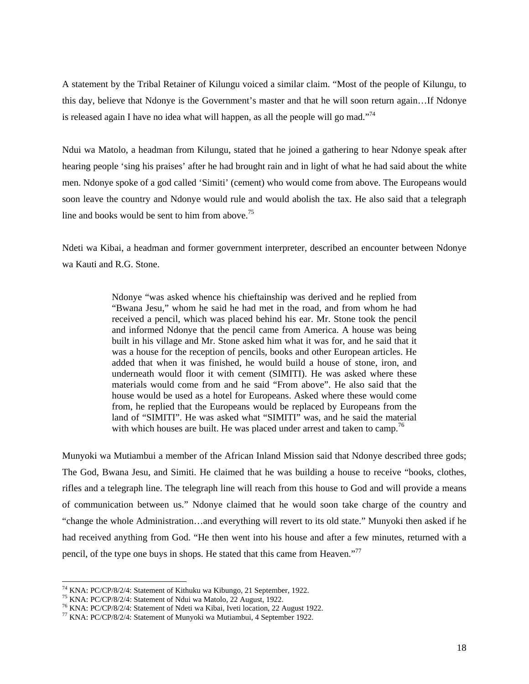A statement by the Tribal Retainer of Kilungu voiced a similar claim. "Most of the people of Kilungu, to this day, believe that Ndonye is the Government's master and that he will soon return again…If Ndonye is released again I have no idea what will happen, as all the people will go mad."<sup>74</sup>

Ndui wa Matolo, a headman from Kilungu, stated that he joined a gathering to hear Ndonye speak after hearing people 'sing his praises' after he had brought rain and in light of what he had said about the white men. Ndonye spoke of a god called 'Simiti' (cement) who would come from above. The Europeans would soon leave the country and Ndonye would rule and would abolish the tax. He also said that a telegraph line and books would be sent to him from above.<sup>75</sup>

Ndeti wa Kibai, a headman and former government interpreter, described an encounter between Ndonye wa Kauti and R.G. Stone.

> Ndonye "was asked whence his chieftainship was derived and he replied from "Bwana Jesu," whom he said he had met in the road, and from whom he had received a pencil, which was placed behind his ear. Mr. Stone took the pencil and informed Ndonye that the pencil came from America. A house was being built in his village and Mr. Stone asked him what it was for, and he said that it was a house for the reception of pencils, books and other European articles. He added that when it was finished, he would build a house of stone, iron, and underneath would floor it with cement (SIMITI). He was asked where these materials would come from and he said "From above". He also said that the house would be used as a hotel for Europeans. Asked where these would come from, he replied that the Europeans would be replaced by Europeans from the land of "SIMITI". He was asked what "SIMITI" was, and he said the material with which houses are built. He was placed under arrest and taken to camp.<sup>76</sup>

Munyoki wa Mutiambui a member of the African Inland Mission said that Ndonye described three gods; The God, Bwana Jesu, and Simiti. He claimed that he was building a house to receive "books, clothes, rifles and a telegraph line. The telegraph line will reach from this house to God and will provide a means of communication between us." Ndonye claimed that he would soon take charge of the country and "change the whole Administration…and everything will revert to its old state." Munyoki then asked if he had received anything from God. "He then went into his house and after a few minutes, returned with a pencil, of the type one buys in shops. He stated that this came from Heaven."77

<sup>&</sup>lt;sup>74</sup> KNA: PC/CP/8/2/4: Statement of Kithuku wa Kibungo, 21 September, 1922.

<sup>&</sup>lt;sup>75</sup> KNA: PC/CP/8/2/4: Statement of Ndui wa Matolo, 22 August, 1922.<br><sup>76</sup> KNA: PC/CP/8/2/4: Statement of Ndeti wa Kibai, Iveti location, 22 August 1922.<br><sup>77</sup> KNA: PC/CP/8/2/4: Statement of Munyoki wa Mutiambui, 4 Septembe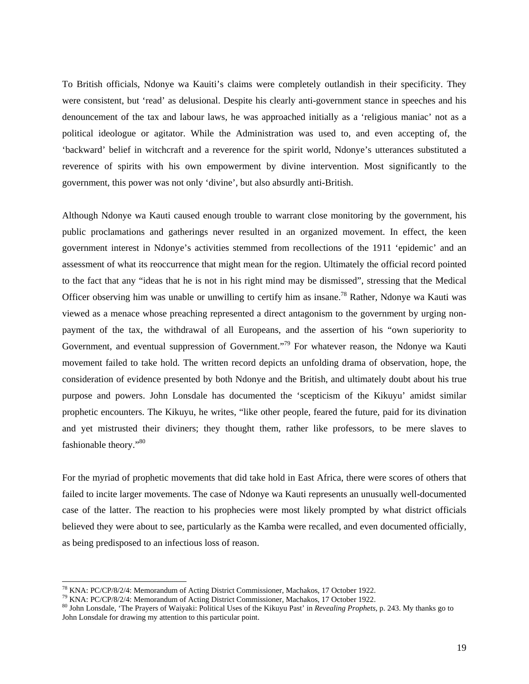To British officials, Ndonye wa Kauiti's claims were completely outlandish in their specificity. They were consistent, but 'read' as delusional. Despite his clearly anti-government stance in speeches and his denouncement of the tax and labour laws, he was approached initially as a 'religious maniac' not as a political ideologue or agitator. While the Administration was used to, and even accepting of, the 'backward' belief in witchcraft and a reverence for the spirit world, Ndonye's utterances substituted a reverence of spirits with his own empowerment by divine intervention. Most significantly to the government, this power was not only 'divine', but also absurdly anti-British.

Although Ndonye wa Kauti caused enough trouble to warrant close monitoring by the government, his public proclamations and gatherings never resulted in an organized movement. In effect, the keen government interest in Ndonye's activities stemmed from recollections of the 1911 'epidemic' and an assessment of what its reoccurrence that might mean for the region. Ultimately the official record pointed to the fact that any "ideas that he is not in his right mind may be dismissed", stressing that the Medical Officer observing him was unable or unwilling to certify him as insane.<sup>78</sup> Rather, Ndonye wa Kauti was viewed as a menace whose preaching represented a direct antagonism to the government by urging nonpayment of the tax, the withdrawal of all Europeans, and the assertion of his "own superiority to Government, and eventual suppression of Government."<sup>79</sup> For whatever reason, the Ndonye wa Kauti movement failed to take hold. The written record depicts an unfolding drama of observation, hope, the consideration of evidence presented by both Ndonye and the British, and ultimately doubt about his true purpose and powers. John Lonsdale has documented the 'scepticism of the Kikuyu' amidst similar prophetic encounters. The Kikuyu, he writes, "like other people, feared the future, paid for its divination and yet mistrusted their diviners; they thought them, rather like professors, to be mere slaves to fashionable theory."80

For the myriad of prophetic movements that did take hold in East Africa, there were scores of others that failed to incite larger movements. The case of Ndonye wa Kauti represents an unusually well-documented case of the latter. The reaction to his prophecies were most likely prompted by what district officials believed they were about to see, particularly as the Kamba were recalled, and even documented officially, as being predisposed to an infectious loss of reason.

<sup>&</sup>lt;sup>78</sup> KNA: PC/CP/8/2/4: Memorandum of Acting District Commissioner, Machakos, 17 October 1922.<br><sup>79</sup> KNA: PC/CP/8/2/4: Memorandum of Acting District Commissioner, Machakos, 17 October 1922.<br><sup>80</sup> John Lonsdale, 'The Prayers John Lonsdale for drawing my attention to this particular point.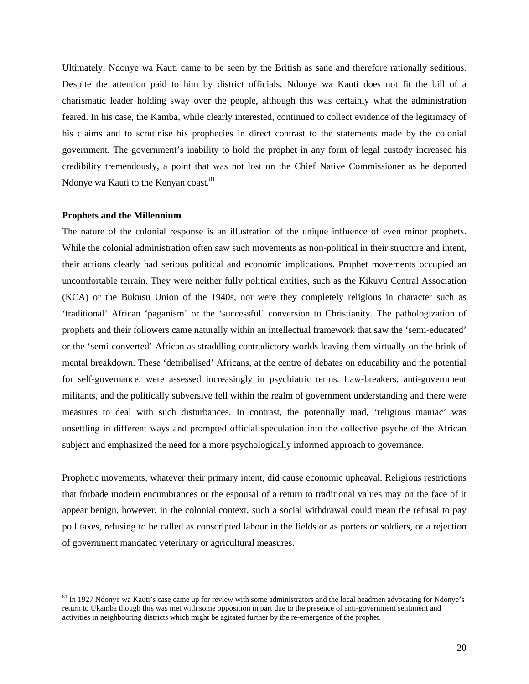Ultimately, Ndonye wa Kauti came to be seen by the British as sane and therefore rationally seditious. Despite the attention paid to him by district officials, Ndonye wa Kauti does not fit the bill of a charismatic leader holding sway over the people, although this was certainly what the administration feared. In his case, the Kamba, while clearly interested, continued to collect evidence of the legitimacy of his claims and to scrutinise his prophecies in direct contrast to the statements made by the colonial government. The government's inability to hold the prophet in any form of legal custody increased his credibility tremendously, a point that was not lost on the Chief Native Commissioner as he deported Ndonye wa Kauti to the Kenyan coast.<sup>81</sup>

#### **Prophets and the Millennium**

l

The nature of the colonial response is an illustration of the unique influence of even minor prophets. While the colonial administration often saw such movements as non-political in their structure and intent, their actions clearly had serious political and economic implications. Prophet movements occupied an uncomfortable terrain. They were neither fully political entities, such as the Kikuyu Central Association (KCA) or the Bukusu Union of the 1940s, nor were they completely religious in character such as 'traditional' African 'paganism' or the 'successful' conversion to Christianity. The pathologization of prophets and their followers came naturally within an intellectual framework that saw the 'semi-educated' or the 'semi-converted' African as straddling contradictory worlds leaving them virtually on the brink of mental breakdown. These 'detribalised' Africans, at the centre of debates on educability and the potential for self-governance, were assessed increasingly in psychiatric terms. Law-breakers, anti-government militants, and the politically subversive fell within the realm of government understanding and there were measures to deal with such disturbances. In contrast, the potentially mad, 'religious maniac' was unsettling in different ways and prompted official speculation into the collective psyche of the African subject and emphasized the need for a more psychologically informed approach to governance.

Prophetic movements, whatever their primary intent, did cause economic upheaval. Religious restrictions that forbade modern encumbrances or the espousal of a return to traditional values may on the face of it appear benign, however, in the colonial context, such a social withdrawal could mean the refusal to pay poll taxes, refusing to be called as conscripted labour in the fields or as porters or soldiers, or a rejection of government mandated veterinary or agricultural measures.

<sup>&</sup>lt;sup>81</sup> In 1927 Ndonye wa Kauti's case came up for review with some administrators and the local headmen advocating for Ndonye's return to Ukamba though this was met with some opposition in part due to the presence of anti-government sentiment and activities in neighbouring districts which might be agitated further by the re-emergence of the prophet.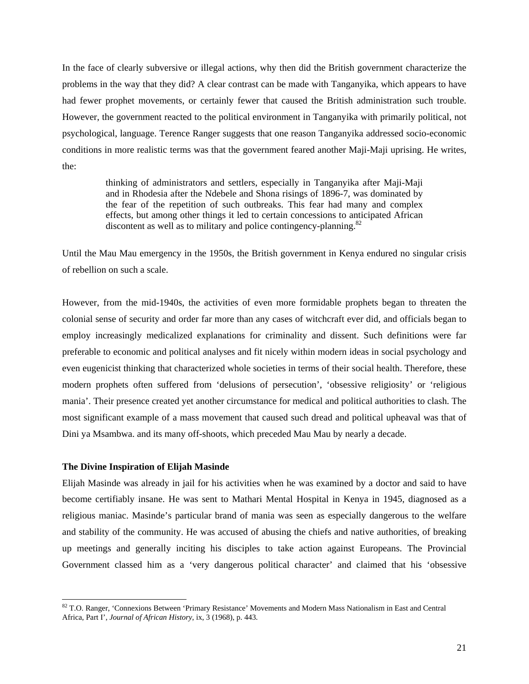In the face of clearly subversive or illegal actions, why then did the British government characterize the problems in the way that they did? A clear contrast can be made with Tanganyika, which appears to have had fewer prophet movements, or certainly fewer that caused the British administration such trouble. However, the government reacted to the political environment in Tanganyika with primarily political, not psychological, language. Terence Ranger suggests that one reason Tanganyika addressed socio-economic conditions in more realistic terms was that the government feared another Maji-Maji uprising. He writes, the:

> thinking of administrators and settlers, especially in Tanganyika after Maji-Maji and in Rhodesia after the Ndebele and Shona risings of 1896-7, was dominated by the fear of the repetition of such outbreaks. This fear had many and complex effects, but among other things it led to certain concessions to anticipated African discontent as well as to military and police contingency-planning.<sup>82</sup>

Until the Mau Mau emergency in the 1950s, the British government in Kenya endured no singular crisis of rebellion on such a scale.

However, from the mid-1940s, the activities of even more formidable prophets began to threaten the colonial sense of security and order far more than any cases of witchcraft ever did, and officials began to employ increasingly medicalized explanations for criminality and dissent. Such definitions were far preferable to economic and political analyses and fit nicely within modern ideas in social psychology and even eugenicist thinking that characterized whole societies in terms of their social health. Therefore, these modern prophets often suffered from 'delusions of persecution', 'obsessive religiosity' or 'religious mania'. Their presence created yet another circumstance for medical and political authorities to clash. The most significant example of a mass movement that caused such dread and political upheaval was that of Dini ya Msambwa. and its many off-shoots, which preceded Mau Mau by nearly a decade.

### **The Divine Inspiration of Elijah Masinde**

l

Elijah Masinde was already in jail for his activities when he was examined by a doctor and said to have become certifiably insane. He was sent to Mathari Mental Hospital in Kenya in 1945, diagnosed as a religious maniac. Masinde's particular brand of mania was seen as especially dangerous to the welfare and stability of the community. He was accused of abusing the chiefs and native authorities, of breaking up meetings and generally inciting his disciples to take action against Europeans. The Provincial Government classed him as a 'very dangerous political character' and claimed that his 'obsessive

<sup>&</sup>lt;sup>82</sup> T.O. Ranger, 'Connexions Between 'Primary Resistance' Movements and Modern Mass Nationalism in East and Central Africa, Part I', *Journal of African History*, ix, 3 (1968), p. 443.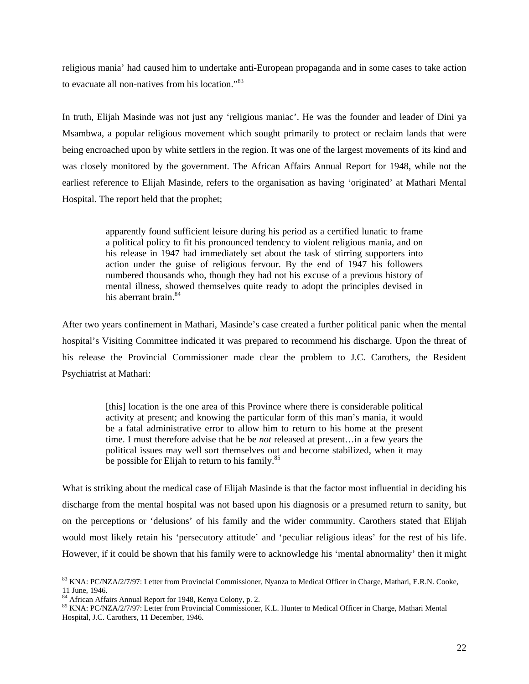religious mania' had caused him to undertake anti-European propaganda and in some cases to take action to evacuate all non-natives from his location."83

In truth, Elijah Masinde was not just any 'religious maniac'. He was the founder and leader of Dini ya Msambwa, a popular religious movement which sought primarily to protect or reclaim lands that were being encroached upon by white settlers in the region. It was one of the largest movements of its kind and was closely monitored by the government. The African Affairs Annual Report for 1948, while not the earliest reference to Elijah Masinde, refers to the organisation as having 'originated' at Mathari Mental Hospital. The report held that the prophet;

> apparently found sufficient leisure during his period as a certified lunatic to frame a political policy to fit his pronounced tendency to violent religious mania, and on his release in 1947 had immediately set about the task of stirring supporters into action under the guise of religious fervour. By the end of 1947 his followers numbered thousands who, though they had not his excuse of a previous history of mental illness, showed themselves quite ready to adopt the principles devised in his aberrant brain.<sup>84</sup>

After two years confinement in Mathari, Masinde's case created a further political panic when the mental hospital's Visiting Committee indicated it was prepared to recommend his discharge. Upon the threat of his release the Provincial Commissioner made clear the problem to J.C. Carothers, the Resident Psychiatrist at Mathari:

> [this] location is the one area of this Province where there is considerable political activity at present; and knowing the particular form of this man's mania, it would be a fatal administrative error to allow him to return to his home at the present time. I must therefore advise that he be *not* released at present…in a few years the political issues may well sort themselves out and become stabilized, when it may be possible for Elijah to return to his family.<sup>85</sup>

What is striking about the medical case of Elijah Masinde is that the factor most influential in deciding his discharge from the mental hospital was not based upon his diagnosis or a presumed return to sanity, but on the perceptions or 'delusions' of his family and the wider community. Carothers stated that Elijah would most likely retain his 'persecutory attitude' and 'peculiar religious ideas' for the rest of his life. However, if it could be shown that his family were to acknowledge his 'mental abnormality' then it might

-

<sup>&</sup>lt;sup>83</sup> KNA: PC/NZA/2/7/97: Letter from Provincial Commissioner, Nyanza to Medical Officer in Charge, Mathari, E.R.N. Cooke, 11 June, 1946.

 $4$  African Affairs Annual Report for 1948, Kenya Colony, p. 2.

<sup>85</sup> KNA: PC/NZA/2/7/97: Letter from Provincial Commissioner, K.L. Hunter to Medical Officer in Charge, Mathari Mental Hospital, J.C. Carothers, 11 December, 1946.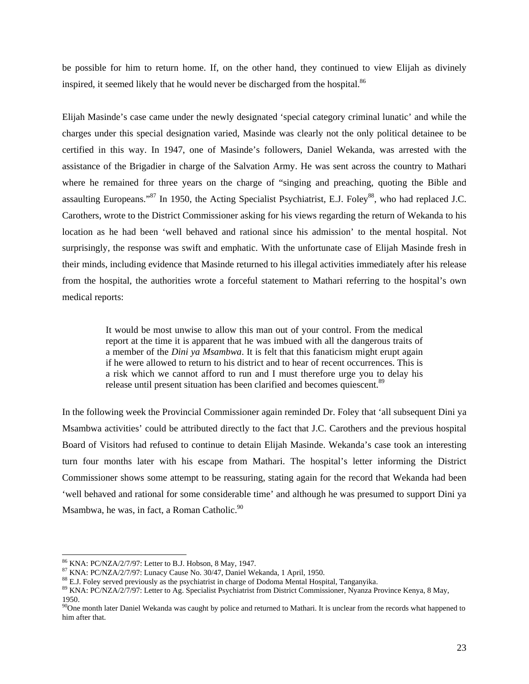be possible for him to return home. If, on the other hand, they continued to view Elijah as divinely inspired, it seemed likely that he would never be discharged from the hospital. $86$ 

Elijah Masinde's case came under the newly designated 'special category criminal lunatic' and while the charges under this special designation varied, Masinde was clearly not the only political detainee to be certified in this way. In 1947, one of Masinde's followers, Daniel Wekanda, was arrested with the assistance of the Brigadier in charge of the Salvation Army. He was sent across the country to Mathari where he remained for three years on the charge of "singing and preaching, quoting the Bible and assaulting Europeans."<sup>87</sup> In 1950, the Acting Specialist Psychiatrist, E.J. Foley<sup>88</sup>, who had replaced J.C. Carothers, wrote to the District Commissioner asking for his views regarding the return of Wekanda to his location as he had been 'well behaved and rational since his admission' to the mental hospital. Not surprisingly, the response was swift and emphatic. With the unfortunate case of Elijah Masinde fresh in their minds, including evidence that Masinde returned to his illegal activities immediately after his release from the hospital, the authorities wrote a forceful statement to Mathari referring to the hospital's own medical reports:

> It would be most unwise to allow this man out of your control. From the medical report at the time it is apparent that he was imbued with all the dangerous traits of a member of the *Dini ya Msambwa*. It is felt that this fanaticism might erupt again if he were allowed to return to his district and to hear of recent occurrences. This is a risk which we cannot afford to run and I must therefore urge you to delay his release until present situation has been clarified and becomes quiescent.<sup>89</sup>

In the following week the Provincial Commissioner again reminded Dr. Foley that 'all subsequent Dini ya Msambwa activities' could be attributed directly to the fact that J.C. Carothers and the previous hospital Board of Visitors had refused to continue to detain Elijah Masinde. Wekanda's case took an interesting turn four months later with his escape from Mathari. The hospital's letter informing the District Commissioner shows some attempt to be reassuring, stating again for the record that Wekanda had been 'well behaved and rational for some considerable time' and although he was presumed to support Dini ya Msambwa, he was, in fact, a Roman Catholic. $90$ 

l

1950.

<sup>&</sup>lt;sup>86</sup> KNA: PC/NZA/2/7/97: Letter to B.J. Hobson, 8 May, 1947.<br><sup>87</sup> KNA: PC/NZA/2/7/97: Lunacy Cause No. 30/47, Daniel Wekanda, 1 April, 1950.<br><sup>88</sup> E.J. Foley served previously as the psychiatrist in charge of Dodoma Mental

<sup>89</sup> KNA: PC/NZA/2/7/97: Letter to Ag. Specialist Psychiatrist from District Commissioner, Nyanza Province Kenya, 8 May,

<sup>&</sup>lt;sup>90</sup>One month later Daniel Wekanda was caught by police and returned to Mathari. It is unclear from the records what happened to him after that.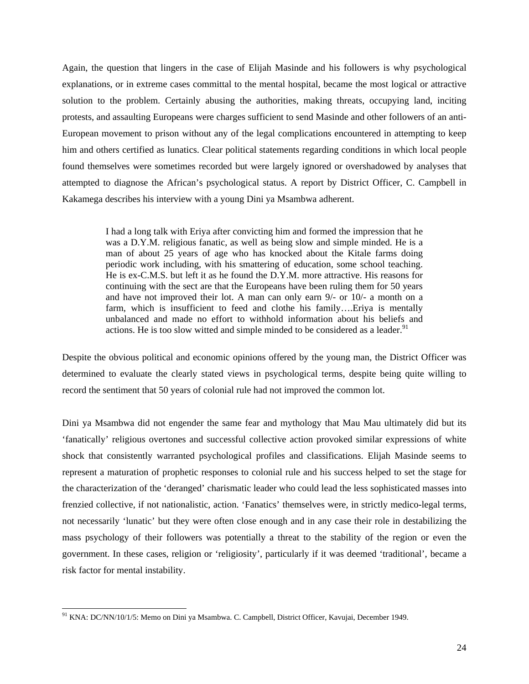Again, the question that lingers in the case of Elijah Masinde and his followers is why psychological explanations, or in extreme cases committal to the mental hospital, became the most logical or attractive solution to the problem. Certainly abusing the authorities, making threats, occupying land, inciting protests, and assaulting Europeans were charges sufficient to send Masinde and other followers of an anti-European movement to prison without any of the legal complications encountered in attempting to keep him and others certified as lunatics. Clear political statements regarding conditions in which local people found themselves were sometimes recorded but were largely ignored or overshadowed by analyses that attempted to diagnose the African's psychological status. A report by District Officer, C. Campbell in Kakamega describes his interview with a young Dini ya Msambwa adherent.

> I had a long talk with Eriya after convicting him and formed the impression that he was a D.Y.M. religious fanatic, as well as being slow and simple minded. He is a man of about 25 years of age who has knocked about the Kitale farms doing periodic work including, with his smattering of education, some school teaching. He is ex-C.M.S. but left it as he found the D.Y.M. more attractive. His reasons for continuing with the sect are that the Europeans have been ruling them for 50 years and have not improved their lot. A man can only earn 9/- or 10/- a month on a farm, which is insufficient to feed and clothe his family….Eriya is mentally unbalanced and made no effort to withhold information about his beliefs and actions. He is too slow witted and simple minded to be considered as a leader.<sup>91</sup>

Despite the obvious political and economic opinions offered by the young man, the District Officer was determined to evaluate the clearly stated views in psychological terms, despite being quite willing to record the sentiment that 50 years of colonial rule had not improved the common lot.

Dini ya Msambwa did not engender the same fear and mythology that Mau Mau ultimately did but its 'fanatically' religious overtones and successful collective action provoked similar expressions of white shock that consistently warranted psychological profiles and classifications. Elijah Masinde seems to represent a maturation of prophetic responses to colonial rule and his success helped to set the stage for the characterization of the 'deranged' charismatic leader who could lead the less sophisticated masses into frenzied collective, if not nationalistic, action. 'Fanatics' themselves were, in strictly medico-legal terms, not necessarily 'lunatic' but they were often close enough and in any case their role in destabilizing the mass psychology of their followers was potentially a threat to the stability of the region or even the government. In these cases, religion or 'religiosity', particularly if it was deemed 'traditional', became a risk factor for mental instability.

<sup>91</sup> KNA: DC/NN/10/1/5: Memo on Dini ya Msambwa. C. Campbell, District Officer, Kavujai, December 1949.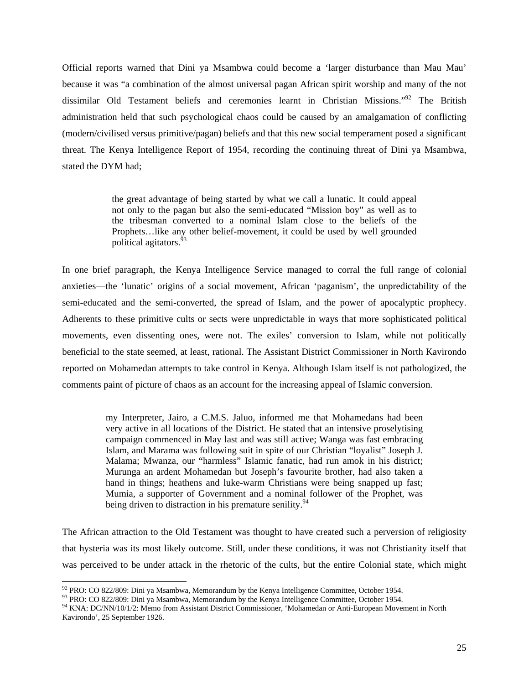Official reports warned that Dini ya Msambwa could become a 'larger disturbance than Mau Mau' because it was "a combination of the almost universal pagan African spirit worship and many of the not dissimilar Old Testament beliefs and ceremonies learnt in Christian Missions."92 The British administration held that such psychological chaos could be caused by an amalgamation of conflicting (modern/civilised versus primitive/pagan) beliefs and that this new social temperament posed a significant threat. The Kenya Intelligence Report of 1954, recording the continuing threat of Dini ya Msambwa, stated the DYM had;

> the great advantage of being started by what we call a lunatic. It could appeal not only to the pagan but also the semi-educated "Mission boy" as well as to the tribesman converted to a nominal Islam close to the beliefs of the Prophets…like any other belief-movement, it could be used by well grounded political agitators. $^{93}$

In one brief paragraph, the Kenya Intelligence Service managed to corral the full range of colonial anxieties—the 'lunatic' origins of a social movement, African 'paganism', the unpredictability of the semi-educated and the semi-converted, the spread of Islam, and the power of apocalyptic prophecy. Adherents to these primitive cults or sects were unpredictable in ways that more sophisticated political movements, even dissenting ones, were not. The exiles' conversion to Islam, while not politically beneficial to the state seemed, at least, rational. The Assistant District Commissioner in North Kavirondo reported on Mohamedan attempts to take control in Kenya. Although Islam itself is not pathologized, the comments paint of picture of chaos as an account for the increasing appeal of Islamic conversion.

> my Interpreter, Jairo, a C.M.S. Jaluo, informed me that Mohamedans had been very active in all locations of the District. He stated that an intensive proselytising campaign commenced in May last and was still active; Wanga was fast embracing Islam, and Marama was following suit in spite of our Christian "loyalist" Joseph J. Malama; Mwanza, our "harmless" Islamic fanatic, had run amok in his district; Murunga an ardent Mohamedan but Joseph's favourite brother, had also taken a hand in things; heathens and luke-warm Christians were being snapped up fast; Mumia, a supporter of Government and a nominal follower of the Prophet, was being driven to distraction in his premature senility.<sup>94</sup>

The African attraction to the Old Testament was thought to have created such a perversion of religiosity that hysteria was its most likely outcome. Still, under these conditions, it was not Christianity itself that was perceived to be under attack in the rhetoric of the cults, but the entire Colonial state, which might

<sup>&</sup>lt;sup>92</sup> PRO: CO 822/809: Dini ya Msambwa, Memorandum by the Kenya Intelligence Committee, October 1954.

<sup>&</sup>lt;sup>93</sup> PRO: CO 822/809: Dini ya Msambwa, Memorandum by the Kenya Intelligence Committee, October 1954.<br><sup>94</sup> KNA: DC/NN/10/1/2: Memo from Assistant District Commissioner, 'Mohamedan or Anti-European Movement in North Kavirondo', 25 September 1926.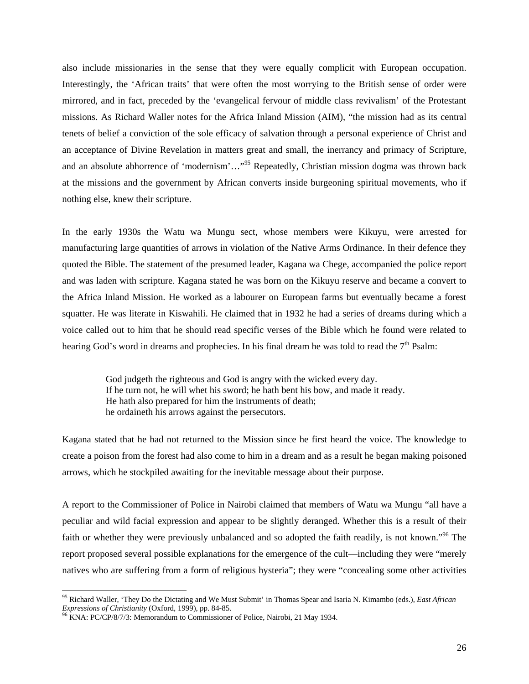also include missionaries in the sense that they were equally complicit with European occupation. Interestingly, the 'African traits' that were often the most worrying to the British sense of order were mirrored, and in fact, preceded by the 'evangelical fervour of middle class revivalism' of the Protestant missions. As Richard Waller notes for the Africa Inland Mission (AIM), "the mission had as its central tenets of belief a conviction of the sole efficacy of salvation through a personal experience of Christ and an acceptance of Divine Revelation in matters great and small, the inerrancy and primacy of Scripture, and an absolute abhorrence of 'modernism'..."<sup>95</sup> Repeatedly, Christian mission dogma was thrown back at the missions and the government by African converts inside burgeoning spiritual movements, who if nothing else, knew their scripture.

In the early 1930s the Watu wa Mungu sect, whose members were Kikuyu, were arrested for manufacturing large quantities of arrows in violation of the Native Arms Ordinance. In their defence they quoted the Bible. The statement of the presumed leader, Kagana wa Chege, accompanied the police report and was laden with scripture. Kagana stated he was born on the Kikuyu reserve and became a convert to the Africa Inland Mission. He worked as a labourer on European farms but eventually became a forest squatter. He was literate in Kiswahili. He claimed that in 1932 he had a series of dreams during which a voice called out to him that he should read specific verses of the Bible which he found were related to hearing God's word in dreams and prophecies. In his final dream he was told to read the 7<sup>th</sup> Psalm:

> God judgeth the righteous and God is angry with the wicked every day. If he turn not, he will whet his sword; he hath bent his bow, and made it ready. He hath also prepared for him the instruments of death; he ordaineth his arrows against the persecutors.

Kagana stated that he had not returned to the Mission since he first heard the voice. The knowledge to create a poison from the forest had also come to him in a dream and as a result he began making poisoned arrows, which he stockpiled awaiting for the inevitable message about their purpose.

A report to the Commissioner of Police in Nairobi claimed that members of Watu wa Mungu "all have a peculiar and wild facial expression and appear to be slightly deranged. Whether this is a result of their faith or whether they were previously unbalanced and so adopted the faith readily, is not known."96 The report proposed several possible explanations for the emergence of the cult—including they were "merely natives who are suffering from a form of religious hysteria"; they were "concealing some other activities

 $\overline{\phantom{a}}$ 

<sup>95</sup> Richard Waller, 'They Do the Dictating and We Must Submit' in Thomas Spear and Isaria N. Kimambo (eds.), *East African* 

<sup>&</sup>lt;sup>96</sup> KNA: PC/CP/8/7/3: Memorandum to Commissioner of Police, Nairobi, 21 May 1934.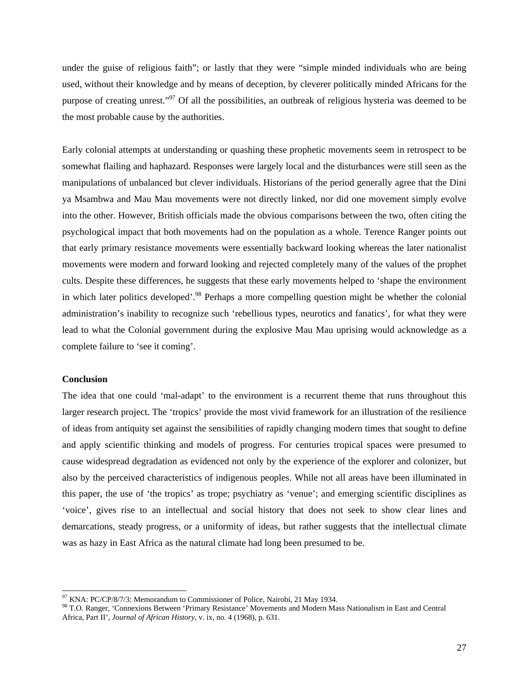under the guise of religious faith"; or lastly that they were "simple minded individuals who are being used, without their knowledge and by means of deception, by cleverer politically minded Africans for the purpose of creating unrest."<sup>97</sup> Of all the possibilities, an outbreak of religious hysteria was deemed to be the most probable cause by the authorities.

Early colonial attempts at understanding or quashing these prophetic movements seem in retrospect to be somewhat flailing and haphazard. Responses were largely local and the disturbances were still seen as the manipulations of unbalanced but clever individuals. Historians of the period generally agree that the Dini ya Msambwa and Mau Mau movements were not directly linked, nor did one movement simply evolve into the other. However, British officials made the obvious comparisons between the two, often citing the psychological impact that both movements had on the population as a whole. Terence Ranger points out that early primary resistance movements were essentially backward looking whereas the later nationalist movements were modern and forward looking and rejected completely many of the values of the prophet cults. Despite these differences, he suggests that these early movements helped to 'shape the environment in which later politics developed'.<sup>98</sup> Perhaps a more compelling question might be whether the colonial administration's inability to recognize such 'rebellious types, neurotics and fanatics', for what they were lead to what the Colonial government during the explosive Mau Mau uprising would acknowledge as a complete failure to 'see it coming'.

#### **Conclusion**

The idea that one could 'mal-adapt' to the environment is a recurrent theme that runs throughout this larger research project. The 'tropics' provide the most vivid framework for an illustration of the resilience of ideas from antiquity set against the sensibilities of rapidly changing modern times that sought to define and apply scientific thinking and models of progress. For centuries tropical spaces were presumed to cause widespread degradation as evidenced not only by the experience of the explorer and colonizer, but also by the perceived characteristics of indigenous peoples. While not all areas have been illuminated in this paper, the use of 'the tropics' as trope; psychiatry as 'venue'; and emerging scientific disciplines as 'voice', gives rise to an intellectual and social history that does not seek to show clear lines and demarcations, steady progress, or a uniformity of ideas, but rather suggests that the intellectual climate was as hazy in East Africa as the natural climate had long been presumed to be.

<sup>&</sup>lt;sup>97</sup> KNA: PC/CP/8/7/3: Memorandum to Commissioner of Police, Nairobi, 21 May 1934.

<sup>&</sup>lt;sup>98</sup> T.O. Ranger, 'Connexions Between 'Primary Resistance' Movements and Modern Mass Nationalism in East and Central Africa, Part II', *Journal of African History*, v. ix, no. 4 (1968), p. 631.